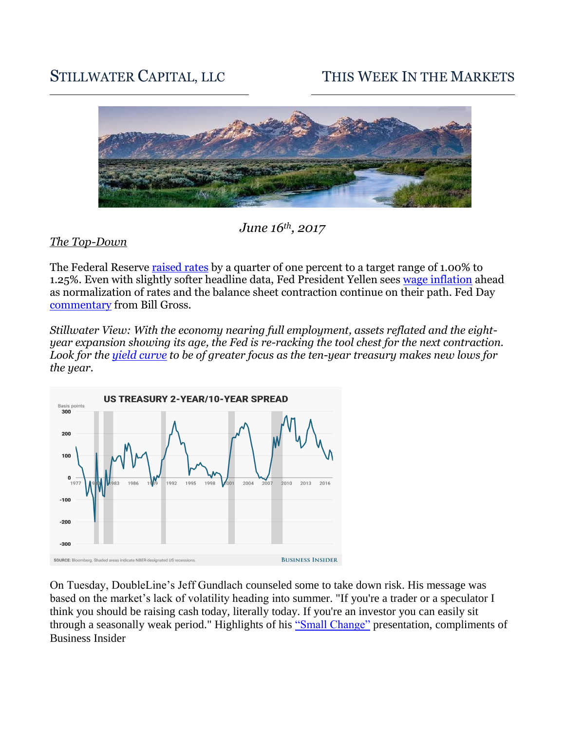# STILLWATER CAPITAL, LLC THIS WEEK IN THE MARKETS



## *June 16th, 2017*

#### *The Top-Down*

The Federal Reserve [raised rates](http://www.cnbc.com/2017/06/14/interest-rates-addressed-at-fed-meeting-with-janet-yellen.html) by a quarter of one percent to a target range of 1.00% to 1.25%. Even with slightly softer headline data, Fed President Yellen sees [wage inflation](https://www.bloomberg.com/news/articles/2017-06-14/yellen-doubles-down-on-bet-hot-job-market-to-stoke-inflation) ahead as normalization of rates and the balance sheet contraction continue on their path. Fed Day [commentary](http://www.cnbc.com/2017/06/14/bill-gross-fed-wont-be-able-to-follow-through-with-its-plans.html) from Bill Gross.

*Stillwater View: With the economy nearing full employment, assets reflated and the eightyear expansion showing its age, the Fed is re-racking the tool chest for the next contraction. Look for the [yield curve](http://www.businessinsider.com/interest-rate-spreads-close-to-signaling-recession-2017-6) to be of greater focus as the ten-year treasury makes new lows for the year.* 



On Tuesday, DoubleLine's Jeff Gundlach counseled some to take down risk. His message was based on the market's lack of volatility heading into summer. "If you're a trader or a speculator I think you should be raising cash today, literally today. If you're an investor you can easily sit through a seasonally weak period." Highlights of his "Small [Change"](http://www.businessinsider.com/gundlach-webcast-presentation-slides-june-13-2017-6/#what-small-change-means-1) presentation, compliments of Business Insider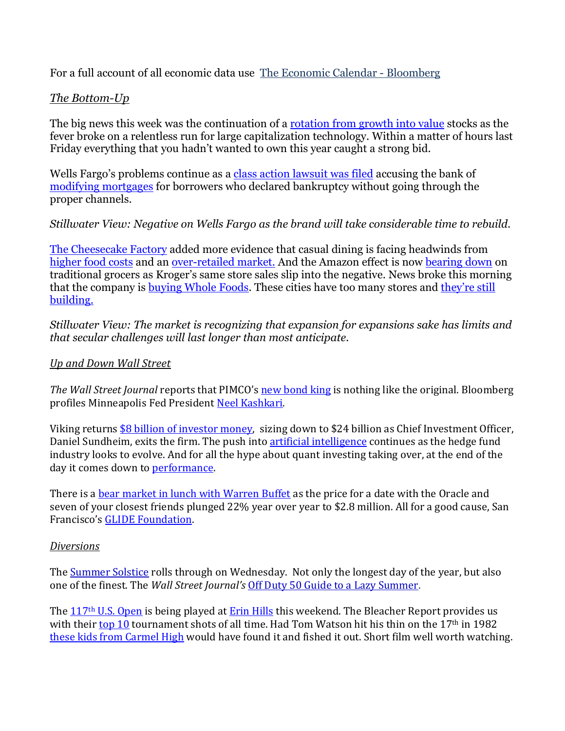For a full account of all economic data use [The Economic Calendar -](https://www.bloomberg.com/markets/economic-calendar) Bloomberg

### *The Bottom-Up*

The big news this week was the continuation of a [rotation from growth into value](https://www.bloomberg.com/news/articles/2017-06-12/just-five-stocks-account-for-nearly-75-of-the-nasdaq-s-plunge) stocks as the fever broke on a relentless run for large capitalization technology. Within a matter of hours last Friday everything that you hadn't wanted to own this year caught a strong bid.

Wells Fargo's problems continue as a class action [lawsuit was filed](https://www.nytimes.com/2017/06/15/business/dealbook/wells-fargo-mortgage-home-loan.html?ref=dealbook) accusing the bank of [modifying mortgages](https://www.nytimes.com/2017/06/14/business/wells-fargo-loan-mortgage.html?_r=0) for borrowers who declared bankruptcy without going through the proper channels.

#### *Stillwater View: Negative on Wells Fargo as the brand will take considerable time to rebuild.*

[The Cheesecake Factory](https://www.bloomberg.com/news/articles/2017-06-13/cheesecake-factory-tumbles-after-industry-woes-catch-up-to-chain) added more evidence that casual dining is facing headwinds from [higher food costs](http://www.cheatsheet.com/money-career/restaurants-struggling-high-food-prices.html/?a=viewall) and an <u>over-retailed market.</u> And the Amazon effect is now [bearing down](https://www.wsj.com/articles/kroger-shares-slide-as-grocer-is-battered-by-price-fight-1497531764) on traditional grocers as Kroger's same store sales slip into the negative. News broke this morning that the company is [buying Whole Foods.](https://www.bloomberg.com/news/articles/2017-06-16/amazon-to-acquire-whole-foods-in-13-7-billion-bet-on-groceries) These cities have too many stores and [they're still](https://www.bloomberg.com/news/articles/2017-06-12/what-s-killing-american-retail-take-a-look-at-this-chart-for-a-start)  [building.](https://www.bloomberg.com/news/articles/2017-06-12/what-s-killing-american-retail-take-a-look-at-this-chart-for-a-start)

*Stillwater View: The market is recognizing that expansion for expansions sake has limits and that secular challenges will last longer than most anticipate.*

#### *Up and Down Wall Street*

*The Wall Street Journal* reports that PIMCO's **new bond king** is nothing like the original. Bloomberg profiles Minneapolis Fed President [Neel Kashkari.](https://www.bloomberg.com/news/articles/2017-06-16/neel-kashkari-is-the-fed-s-toughest-internal-critic)

Viking returns [\\$8 billion of investor money,](https://www.nytimes.com/2017/06/12/business/dealbook/viking-hedge-fund-to-return-8-billion-to-investors.html) sizing down to \$24 billion as Chief Investment Officer, Daniel Sundheim, exits the firm. The push into [artificial intelligence](http://www.pionline.com/article/20170612/PRINT/306129991/ai-key-for-third-wave-of-hedge-fund-managers) continues as the hedge fund industry looks to evolve. And for all the hype about quant investing taking over, at the end of the day it comes down to [performance.](https://www.wsj.com/articles/flush-with-cash-top-quant-funds-stumble-1497561706) 

There is [a bear market in lunch with Warren Buffet](https://www.bloomberg.com/news/articles/2017-06-10/buffett-s-lunch-auction-attracts-winning-offer-of-2-68-million) as the price for a date with the Oracle and seven of your closest friends plunged 22% year over year to \$2.8 million. All for a good cause, San Francisco's [GLIDE Foundation.](https://www.glide.org/)

#### *Diversions*

The <u>[Summer Solstice](http://metro.co.uk/2017/06/14/when-is-the-longest-day-of-the-year-and-why-is-it-called-the-summer-solstice-6707483/)</u> rolls through on Wednesday. Not only the longest day of the year, but also one of the finest. The *Wall Street Journal's* [Off Duty 50 Guide to a Lazy Summer.](http://graphics.wsj.com/image-grid/od50-summer2017/)

The 117th [U.S. Open](http://www.usopen.com/) is being played at [Erin Hills](http://www.golfchannel.com/news/rex-hoggard/erin-hills-enticing-deadly/) this weekend. The Bleacher Report provides us with their [top 10](http://bleacherreport.com/articles/2496035-ranking-the-10-best-shots-in-us-open-history) tournament shots of all time. Had Tom Watson hit his thin on the 17<sup>th</sup> in 1982 [these kids from Carmel High](http://www.golf.com/knockdown/2017/01/27/ball-retrievers-meet-two-environmentally-conscious-teens-who-have-collected-thousands-golf-balls) would have found it and fished it out. Short film well worth watching.